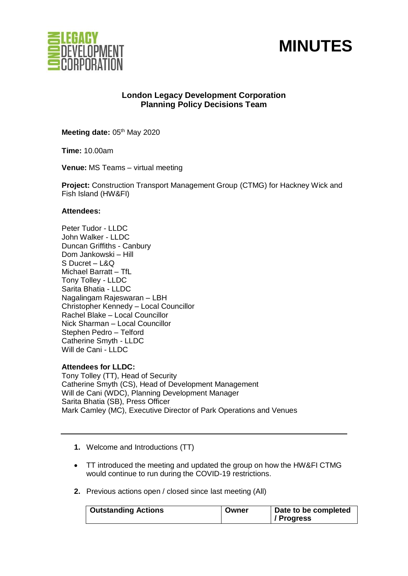



# **London Legacy Development Corporation Planning Policy Decisions Team**

Meeting date: 05<sup>th</sup> May 2020

**Time:** 10.00am

**Venue:** MS Teams – virtual meeting

**Project:** Construction Transport Management Group (CTMG) for Hackney Wick and Fish Island (HW&FI)

### **Attendees:**

Peter Tudor - LLDC John Walker - LLDC Duncan Griffiths - Canbury Dom Jankowski – Hill S Ducret – L&Q Michael Barratt – TfL Tony Tolley - LLDC Sarita Bhatia - LLDC Nagalingam Rajeswaran – LBH Christopher Kennedy – Local Councillor Rachel Blake – Local Councillor Nick Sharman – Local Councillor Stephen Pedro – Telford Catherine Smyth - LLDC Will de Cani - LLDC

### **Attendees for LLDC:**

Tony Tolley (TT), Head of Security Catherine Smyth (CS), Head of Development Management Will de Cani (WDC), Planning Development Manager Sarita Bhatia (SB), Press Officer Mark Camley (MC), Executive Director of Park Operations and Venues

- **1.** Welcome and Introductions (TT)
- TT introduced the meeting and updated the group on how the HW&FI CTMG would continue to run during the COVID-19 restrictions.
- **2.** Previous actions open / closed since last meeting (All)

| / Progress | <b>Outstanding Actions</b> | Owner | Date to be completed |
|------------|----------------------------|-------|----------------------|
|------------|----------------------------|-------|----------------------|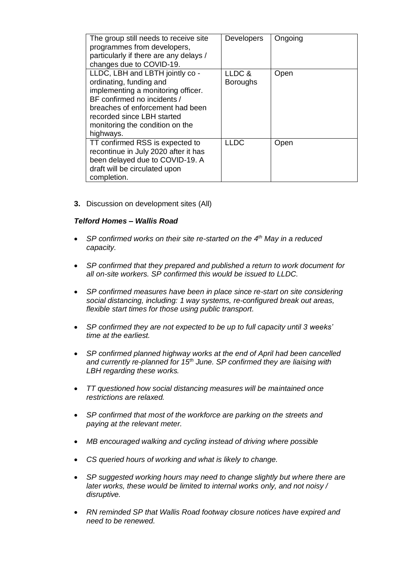| The group still needs to receive site<br>programmes from developers, | <b>Developers</b> | Ongoing |
|----------------------------------------------------------------------|-------------------|---------|
| particularly if there are any delays /                               |                   |         |
|                                                                      |                   |         |
| changes due to COVID-19.                                             |                   |         |
| LLDC, LBH and LBTH jointly co -                                      | LLDC &            | Open    |
| ordinating, funding and                                              | <b>Boroughs</b>   |         |
| implementing a monitoring officer.                                   |                   |         |
| BF confirmed no incidents /                                          |                   |         |
| breaches of enforcement had been                                     |                   |         |
| recorded since LBH started                                           |                   |         |
| monitoring the condition on the                                      |                   |         |
| highways.                                                            |                   |         |
| TT confirmed RSS is expected to                                      | <b>LLDC</b>       | Open    |
| recontinue in July 2020 after it has                                 |                   |         |
| been delayed due to COVID-19. A                                      |                   |         |
| draft will be circulated upon                                        |                   |         |
| completion.                                                          |                   |         |

**3.** Discussion on development sites (All)

## *Telford Homes – Wallis Road*

- SP confirmed works on their site re-started on the 4<sup>th</sup> May in a reduced *capacity.*
- *SP confirmed that they prepared and published a return to work document for all on-site workers. SP confirmed this would be issued to LLDC.*
- *SP confirmed measures have been in place since re-start on site considering social distancing, including: 1 way systems, re-configured break out areas, flexible start times for those using public transport.*
- *SP confirmed they are not expected to be up to full capacity until 3 weeks' time at the earliest.*
- *SP confirmed planned highway works at the end of April had been cancelled and currently re-planned for 15th June. SP confirmed they are liaising with LBH regarding these works.*
- *TT questioned how social distancing measures will be maintained once restrictions are relaxed.*
- *SP confirmed that most of the workforce are parking on the streets and paying at the relevant meter.*
- *MB encouraged walking and cycling instead of driving where possible*
- *CS queried hours of working and what is likely to change.*
- *SP suggested working hours may need to change slightly but where there are later works, these would be limited to internal works only, and not noisy / disruptive.*
- *RN reminded SP that Wallis Road footway closure notices have expired and need to be renewed.*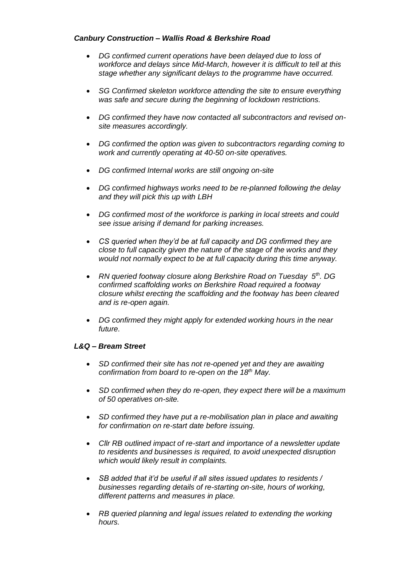## *Canbury Construction – Wallis Road & Berkshire Road*

- *DG confirmed current operations have been delayed due to loss of workforce and delays since Mid-March, however it is difficult to tell at this stage whether any significant delays to the programme have occurred.*
- *SG Confirmed skeleton workforce attending the site to ensure everything was safe and secure during the beginning of lockdown restrictions.*
- *DG confirmed they have now contacted all subcontractors and revised onsite measures accordingly.*
- *DG confirmed the option was given to subcontractors regarding coming to work and currently operating at 40-50 on-site operatives.*
- *DG confirmed Internal works are still ongoing on-site*
- *DG confirmed highways works need to be re-planned following the delay and they will pick this up with LBH*
- *DG confirmed most of the workforce is parking in local streets and could see issue arising if demand for parking increases.*
- *CS queried when they'd be at full capacity and DG confirmed they are close to full capacity given the nature of the stage of the works and they would not normally expect to be at full capacity during this time anyway.*
- RN queried footway closure along Berkshire Road on Tuesday 5<sup>th</sup>. DG *confirmed scaffolding works on Berkshire Road required a footway closure whilst erecting the scaffolding and the footway has been cleared and is re-open again.*
- *DG confirmed they might apply for extended working hours in the near future.*

## *L&Q – Bream Street*

- *SD confirmed their site has not re-opened yet and they are awaiting confirmation from board to re-open on the 18th May.*
- *SD confirmed when they do re-open, they expect there will be a maximum of 50 operatives on-site.*
- *SD confirmed they have put a re-mobilisation plan in place and awaiting for confirmation on re-start date before issuing.*
- *Cllr RB outlined impact of re-start and importance of a newsletter update to residents and businesses is required, to avoid unexpected disruption which would likely result in complaints.*
- *SB added that it'd be useful if all sites issued updates to residents / businesses regarding details of re-starting on-site, hours of working, different patterns and measures in place.*
- *RB queried planning and legal issues related to extending the working hours.*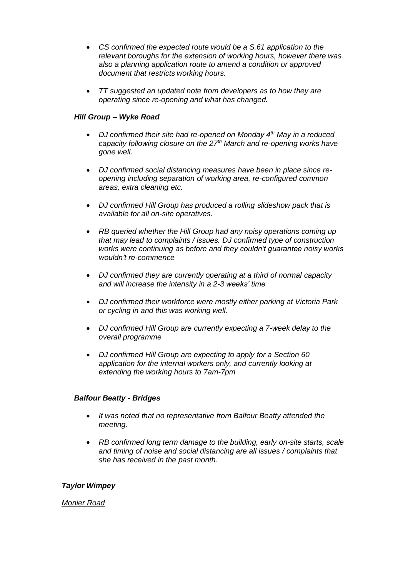- *CS confirmed the expected route would be a S.61 application to the relevant boroughs for the extension of working hours, however there was also a planning application route to amend a condition or approved document that restricts working hours.*
- *TT suggested an updated note from developers as to how they are operating since re-opening and what has changed.*

### *Hill Group – Wyke Road*

- *DJ confirmed their site had re-opened on Monday 4th May in a reduced capacity following closure on the 27th March and re-opening works have gone well.*
- *DJ confirmed social distancing measures have been in place since reopening including separation of working area, re-configured common areas, extra cleaning etc.*
- *DJ confirmed Hill Group has produced a rolling slideshow pack that is available for all on-site operatives.*
- *RB queried whether the Hill Group had any noisy operations coming up that may lead to complaints / issues. DJ confirmed type of construction works were continuing as before and they couldn't guarantee noisy works wouldn't re-commence*
- *DJ confirmed they are currently operating at a third of normal capacity and will increase the intensity in a 2-3 weeks' time*
- *DJ confirmed their workforce were mostly either parking at Victoria Park or cycling in and this was working well.*
- *DJ confirmed Hill Group are currently expecting a 7-week delay to the overall programme*
- *DJ confirmed Hill Group are expecting to apply for a Section 60 application for the internal workers only, and currently looking at extending the working hours to 7am-7pm*

### *Balfour Beatty - Bridges*

- *It was noted that no representative from Balfour Beatty attended the meeting.*
- *RB confirmed long term damage to the building, early on-site starts, scale and timing of noise and social distancing are all issues / complaints that she has received in the past month.*

### *Taylor Wimpey*

### *Monier Road*